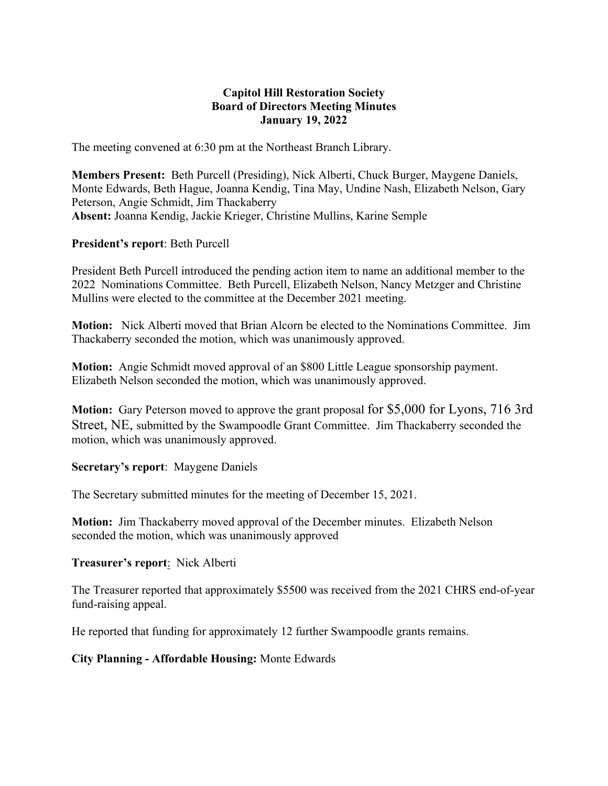#### **Capitol Hill Restoration Society Board of Directors Meeting Minutes January 19, 2022**

The meeting convened at 6:30 pm at the Northeast Branch Library.

**Members Present:** Beth Purcell (Presiding), Nick Alberti, Chuck Burger, Maygene Daniels, Monte Edwards, Beth Hague, Joanna Kendig, Tina May, Undine Nash, Elizabeth Nelson, Gary Peterson, Angie Schmidt, Jim Thackaberry **Absent:** Joanna Kendig, Jackie Krieger, Christine Mullins, Karine Semple

#### **President's report**: Beth Purcell

President Beth Purcell introduced the pending action item to name an additional member to the 2022 Nominations Committee. Beth Purcell, Elizabeth Nelson, Nancy Metzger and Christine Mullins were elected to the committee at the December 2021 meeting.

**Motion:** Nick Alberti moved that Brian Alcorn be elected to the Nominations Committee. Jim Thackaberry seconded the motion, which was unanimously approved.

**Motion:** Angie Schmidt moved approval of an \$800 Little League sponsorship payment. Elizabeth Nelson seconded the motion, which was unanimously approved.

**Motion:** Gary Peterson moved to approve the grant proposal for \$5,000 for Lyons, 716 3rd Street, NE, submitted by the Swampoodle Grant Committee. Jim Thackaberry seconded the motion, which was unanimously approved.

# **Secretary's report**: Maygene Daniels

The Secretary submitted minutes for the meeting of December 15, 2021.

**Motion:** Jim Thackaberry moved approval of the December minutes. Elizabeth Nelson seconded the motion, which was unanimously approved

#### **Treasurer's report**: Nick Alberti

The Treasurer reported that approximately \$5500 was received from the 2021 CHRS end-of-year fund-raising appeal.

He reported that funding for approximately 12 further Swampoodle grants remains.

# **City Planning - Affordable Housing:** Monte Edwards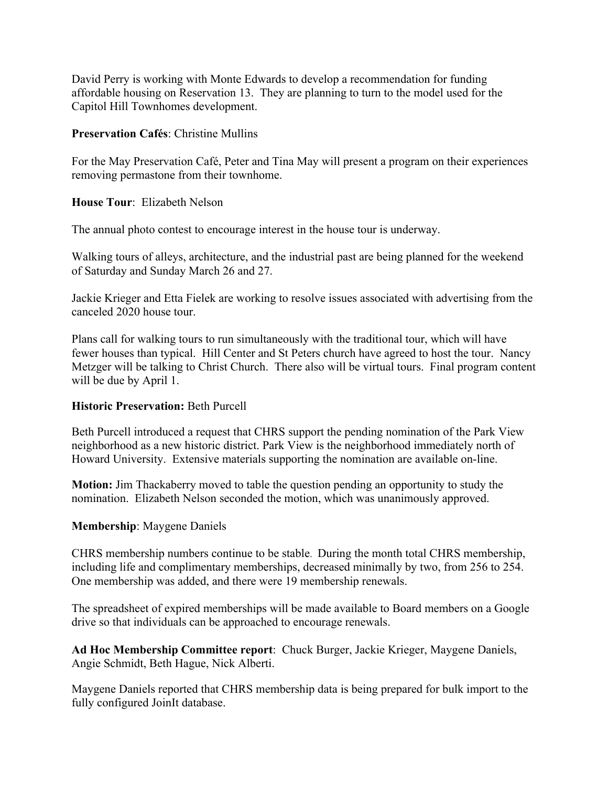David Perry is working with Monte Edwards to develop a recommendation for funding affordable housing on Reservation 13. They are planning to turn to the model used for the Capitol Hill Townhomes development.

#### **Preservation Cafés**: Christine Mullins

For the May Preservation Café, Peter and Tina May will present a program on their experiences removing permastone from their townhome.

**House Tour**: Elizabeth Nelson

The annual photo contest to encourage interest in the house tour is underway.

Walking tours of alleys, architecture, and the industrial past are being planned for the weekend of Saturday and Sunday March 26 and 27.

Jackie Krieger and Etta Fielek are working to resolve issues associated with advertising from the canceled 2020 house tour.

Plans call for walking tours to run simultaneously with the traditional tour, which will have fewer houses than typical. Hill Center and St Peters church have agreed to host the tour. Nancy Metzger will be talking to Christ Church. There also will be virtual tours. Final program content will be due by April 1.

# **Historic Preservation:** Beth Purcell

Beth Purcell introduced a request that CHRS support the pending nomination of the Park View neighborhood as a new historic district. Park View is the neighborhood immediately north of Howard University. Extensive materials supporting the nomination are available on-line.

**Motion:** Jim Thackaberry moved to table the question pending an opportunity to study the nomination. Elizabeth Nelson seconded the motion, which was unanimously approved.

# **Membership**: Maygene Daniels

CHRS membership numbers continue to be stable. During the month total CHRS membership, including life and complimentary memberships, decreased minimally by two, from 256 to 254. One membership was added, and there were 19 membership renewals.

The spreadsheet of expired memberships will be made available to Board members on a Google drive so that individuals can be approached to encourage renewals.

**Ad Hoc Membership Committee report**: Chuck Burger, Jackie Krieger, Maygene Daniels, Angie Schmidt, Beth Hague, Nick Alberti.

Maygene Daniels reported that CHRS membership data is being prepared for bulk import to the fully configured JoinIt database.